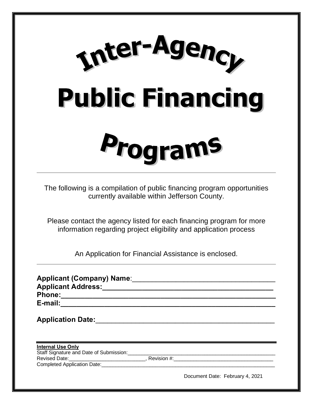

The following is a compilation of public financing program opportunities currently available within Jefferson County.

Please contact the agency listed for each financing program for more information regarding project eligibility and application process

An Application for Financial Assistance is enclosed.

| E-mail: _________________________   |                                 |
|-------------------------------------|---------------------------------|
| Application Date: Application Date: |                                 |
| <b>Internal Use Only</b>            |                                 |
|                                     |                                 |
|                                     |                                 |
|                                     |                                 |
|                                     | Document Date: February 4, 2021 |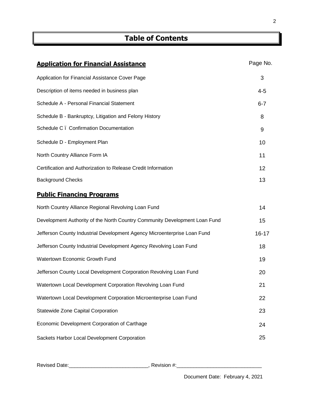# **Table of Contents**

| <b>Application for Financial Assistance</b>                                | Page No.  |
|----------------------------------------------------------------------------|-----------|
| Application for Financial Assistance Cover Page                            | 3         |
| Description of items needed in business plan                               | $4 - 5$   |
| Schedule A - Personal Financial Statement                                  | $6 - 7$   |
| Schedule B - Bankruptcy, Litigation and Felony History                     | 8         |
| Schedule C. Confirmation Documentation                                     | 9         |
| Schedule D - Employment Plan                                               | 10        |
| North Country Alliance Form IA                                             | 11        |
| Certification and Authorization to Release Credit Information              | 12        |
| <b>Background Checks</b>                                                   | 13        |
| <b>Public Financing Programs</b>                                           |           |
| North Country Alliance Regional Revolving Loan Fund                        | 14        |
| Development Authority of the North Country Community Development Loan Fund | 15        |
| Jefferson County Industrial Development Agency Microenterprise Loan Fund   | $16 - 17$ |
| Jefferson County Industrial Development Agency Revolving Loan Fund         | 18        |
| Watertown Economic Growth Fund                                             | 19        |
| Jefferson County Local Development Corporation Revolving Loan Fund         | 20        |
| Watertown Local Development Corporation Revolving Loan Fund                | 21        |
| Watertown Local Development Corporation Microenterprise Loan Fund          | 22        |
| Statewide Zone Capital Corporation                                         | 23        |
| Economic Development Corporation of Carthage                               | 24        |
| Sackets Harbor Local Development Corporation                               | 25        |

Revised Date:\_\_\_\_\_\_\_\_\_\_\_\_\_\_\_\_\_\_\_\_\_\_\_\_\_\_\_\_, Revision #:\_\_\_\_\_\_\_\_\_\_\_\_\_\_\_\_\_\_\_\_\_\_\_\_\_\_\_\_\_\_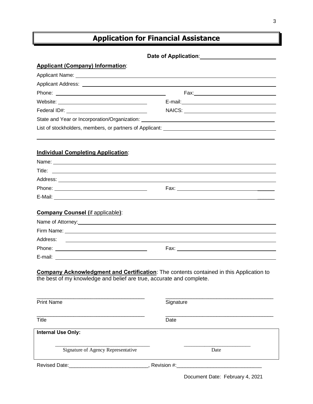# **Application for Financial Assistance**

# Date of Application: **Mature 2018**

# **Applicant (Company) Information**:

| Federal ID#: Note: Note: Note: Note: Note: Note: Note: Note: Note: Note: Note: Note: Note: Note: No                                                                                                                            | NAICS: NAICS: |
|--------------------------------------------------------------------------------------------------------------------------------------------------------------------------------------------------------------------------------|---------------|
| State and Year or Incorporation/Organization: National Contract of the Contract of State and Year or Incorporation/Organization:                                                                                               |               |
|                                                                                                                                                                                                                                |               |
|                                                                                                                                                                                                                                |               |
| <b>Individual Completing Application:</b>                                                                                                                                                                                      |               |
| Title:<br><u> 1989 - Johann Stein, marwolaethau a bhann an t-Amhair ann an t-Amhair an t-Amhair an t-Amhair an t-Amhair an</u>                                                                                                 |               |
|                                                                                                                                                                                                                                |               |
|                                                                                                                                                                                                                                |               |
| E-Mail: New York and the Communication of the Communication of the Communication of the Communication of the Communication of the Communication of the Communication of the Communication of the Communication of the Communic |               |
|                                                                                                                                                                                                                                |               |
| <b>Company Counsel (if applicable):</b>                                                                                                                                                                                        |               |
| Name of Attorney: example and a series of the series of the series of the series of the series of the series of the series of the series of the series of the series of the series of the series of the series of the series o |               |
|                                                                                                                                                                                                                                |               |
| Address:<br><u>se a componente de la componente de la componente de la componente de la componente de la componente de la com</u>                                                                                              |               |
|                                                                                                                                                                                                                                |               |
|                                                                                                                                                                                                                                |               |
| <b>Company Acknowledgment and Certification:</b> The contents contained in this Application to<br>the best of my knowledge and belief are true, accurate and complete.                                                         |               |
| <b>Print Name</b>                                                                                                                                                                                                              | Signature     |
| Title                                                                                                                                                                                                                          | Date          |
| <b>Internal Use Only:</b>                                                                                                                                                                                                      |               |

Signature of Agency Representative Date

\_\_\_\_\_\_\_\_\_\_\_\_\_\_\_\_\_\_\_\_\_\_\_\_\_\_\_\_\_\_\_\_\_\_\_\_\_ \_\_\_\_\_\_\_\_\_\_\_\_\_\_\_\_\_\_\_\_\_\_\_\_\_\_

Revised Date: \_\_\_\_\_\_\_\_\_\_\_\_\_\_\_\_\_\_\_\_\_\_\_\_\_\_\_\_\_\_, Revision #: \_\_\_\_\_\_\_\_\_\_\_\_\_\_\_\_\_\_\_\_\_\_\_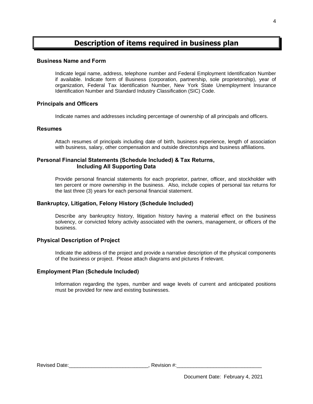# **Description of items required in business plan**

## **Business Name and Form**

Indicate legal name, address, telephone number and Federal Employment Identification Number if available. Indicate form of Business (corporation, partnership, sole proprietorship), year of organization, Federal Tax Identification Number, New York State Unemployment Insurance Identification Number and Standard Industry Classification (SIC) Code.

## **Principals and Officers**

Indicate names and addresses including percentage of ownership of all principals and officers.

## **Resumes**

Attach resumes of principals including date of birth, business experience, length of association with business, salary, other compensation and outside directorships and business affiliations.

## **Personal Financial Statements (Schedule Included) & Tax Returns, Including All Supporting Data**

Provide personal financial statements for each proprietor, partner, officer, and stockholder with ten percent or more ownership in the business. Also, include copies of personal tax returns for the last three (3) years for each personal financial statement.

## **Bankruptcy, Litigation, Felony History (Schedule Included)**

Describe any bankruptcy history, litigation history having a material effect on the business solvency, or convicted felony activity associated with the owners, management, or officers of the business.

# **Physical Description of Project**

Indicate the address of the project and provide a narrative description of the physical components of the business or project. Please attach diagrams and pictures if relevant.

## **Employment Plan (Schedule Included)**

Information regarding the types, number and wage levels of current and anticipated positions must be provided for new and existing businesses.

4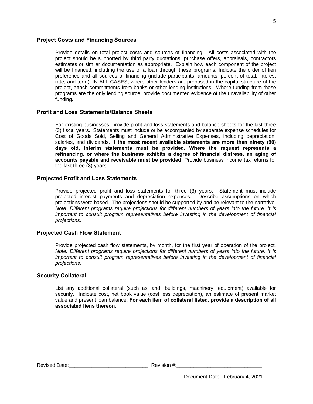## **Project Costs and Financing Sources**

Provide details on total project costs and sources of financing. All costs associated with the project should be supported by third party quotations, purchase offers, appraisals, contractors estimates or similar documentation as appropriate. Explain how each component of the project will be financed, including the use of a loan through these programs. Indicate the order of lien preference and all sources of financing (include participants, amounts, percent of total, interest rate, and term). IN ALL CASES, where other lenders are proposed in the capital structure of the project, attach commitments from banks or other lending institutions. Where funding from these programs are the only lending source, provide documented evidence of the unavailability of other funding.

# **Profit and Loss Statements/Balance Sheets**

For existing businesses, provide profit and loss statements and balance sheets for the last three (3) fiscal years. Statements must include or be accompanied by separate expense schedules for Cost of Goods Sold, Selling and General Administrative Expenses, including depreciation, salaries, and dividends. **If the most recent available statements are more than ninety (90) days old, interim statements must be provided. Where the request represents a refinancing, or where the business exhibits a degree of financial distress, an aging of accounts payable and receivable must be provided**. Provide business income tax returns for the last three (3) years.

# **Projected Profit and Loss Statements**

Provide projected profit and loss statements for three (3) years. Statement must include projected interest payments and depreciation expenses. Describe assumptions on which projections were based. The projections should be supported by and be relevant to the narrative. *Note: Different programs require projections for different numbers of years into the future. It is important to consult program representatives before investing in the development of financial projections.*

## **Projected Cash Flow Statement**

Provide projected cash flow statements, by month, for the first year of operation of the project. *Note: Different programs require projections for different numbers of years into the future. It is important to consult program representatives before investing in the development of financial projections.*

## **Security Collateral**

List any additional collateral (such as land, buildings, machinery, equipment) available for security. Indicate cost, net book value (cost less depreciation), an estimate of present market value and present loan balance. **For each item of collateral listed, provide a description of all associated liens thereon.**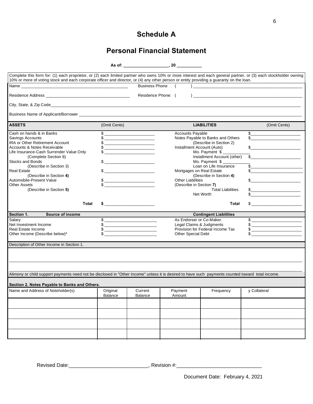# **Schedule A**

# **Personal Financial Statement**

|                                                                                                                                                                                                                                                                                                             |              |                                                                                                                       | As of: the contract of the contract of the contract of the contract of the contract of the contract of the contract of the contract of the contract of the contract of the contract of the contract of the contract of the con |                                           |                                                                                                                                                                                                                                                                                                                     |
|-------------------------------------------------------------------------------------------------------------------------------------------------------------------------------------------------------------------------------------------------------------------------------------------------------------|--------------|-----------------------------------------------------------------------------------------------------------------------|--------------------------------------------------------------------------------------------------------------------------------------------------------------------------------------------------------------------------------|-------------------------------------------|---------------------------------------------------------------------------------------------------------------------------------------------------------------------------------------------------------------------------------------------------------------------------------------------------------------------|
| Complete this form for: (1) each proprietor, or (2) each limited partner who owns 10% or more interest and each general partner, or (3) each stockholder owning<br>10% or more of voting stock and each corporate officer and director, or (4) any other person or entity providing a guaranty on the loan. |              |                                                                                                                       |                                                                                                                                                                                                                                |                                           |                                                                                                                                                                                                                                                                                                                     |
|                                                                                                                                                                                                                                                                                                             |              | <b>Business Phone</b>                                                                                                 |                                                                                                                                                                                                                                |                                           |                                                                                                                                                                                                                                                                                                                     |
|                                                                                                                                                                                                                                                                                                             |              | Residence Phone: (                                                                                                    |                                                                                                                                                                                                                                |                                           |                                                                                                                                                                                                                                                                                                                     |
|                                                                                                                                                                                                                                                                                                             |              |                                                                                                                       |                                                                                                                                                                                                                                |                                           |                                                                                                                                                                                                                                                                                                                     |
|                                                                                                                                                                                                                                                                                                             |              |                                                                                                                       |                                                                                                                                                                                                                                |                                           |                                                                                                                                                                                                                                                                                                                     |
| <b>ASSETS</b>                                                                                                                                                                                                                                                                                               | (Omit Cents) |                                                                                                                       |                                                                                                                                                                                                                                | <b>LIABILITIES</b>                        | (Omit Cents)                                                                                                                                                                                                                                                                                                        |
| Cash on hands & in Banks                                                                                                                                                                                                                                                                                    |              |                                                                                                                       | <b>Accounts Payable</b>                                                                                                                                                                                                        |                                           | $\frac{1}{2}$                                                                                                                                                                                                                                                                                                       |
| <b>Savings Accounts</b>                                                                                                                                                                                                                                                                                     |              | <u> Liste de la construcción de la construcción de la construcción de la construcción de la construcción de la c</u>  |                                                                                                                                                                                                                                | Notes Payable to Banks and Others         |                                                                                                                                                                                                                                                                                                                     |
| IRA or Other Retirement Account                                                                                                                                                                                                                                                                             |              | <u> 1919 - Johann Marie Barn, mars and de Branch and de Branch and de Branch and de Branch and de Branch and de B</u> |                                                                                                                                                                                                                                | (Describe in Section 2)                   |                                                                                                                                                                                                                                                                                                                     |
| Accounts & Notes Receivable                                                                                                                                                                                                                                                                                 |              |                                                                                                                       |                                                                                                                                                                                                                                | Installment Account (Auto)                |                                                                                                                                                                                                                                                                                                                     |
| Life Insurance-Cash Surrender Value Only                                                                                                                                                                                                                                                                    |              |                                                                                                                       |                                                                                                                                                                                                                                | Mo. Payment \$                            |                                                                                                                                                                                                                                                                                                                     |
| (Complete Section 8)                                                                                                                                                                                                                                                                                        |              |                                                                                                                       |                                                                                                                                                                                                                                | Installment Account (other)               | $\frac{1}{2}$ $\frac{1}{2}$ $\frac{1}{2}$ $\frac{1}{2}$ $\frac{1}{2}$ $\frac{1}{2}$ $\frac{1}{2}$ $\frac{1}{2}$ $\frac{1}{2}$ $\frac{1}{2}$ $\frac{1}{2}$ $\frac{1}{2}$ $\frac{1}{2}$ $\frac{1}{2}$ $\frac{1}{2}$ $\frac{1}{2}$ $\frac{1}{2}$ $\frac{1}{2}$ $\frac{1}{2}$ $\frac{1}{2}$ $\frac{1}{2}$ $\frac{1}{2}$ |
| <b>Stocks and Bonds</b>                                                                                                                                                                                                                                                                                     |              |                                                                                                                       |                                                                                                                                                                                                                                | Mo. Payment $$$<br>Loan on Life Insurance |                                                                                                                                                                                                                                                                                                                     |
| (Describe in Section 3)<br><b>Real Estate</b>                                                                                                                                                                                                                                                               |              |                                                                                                                       |                                                                                                                                                                                                                                | Mortgages on Real Estate                  | $\frac{1}{2}$                                                                                                                                                                                                                                                                                                       |
| (Describe in Section 4)                                                                                                                                                                                                                                                                                     |              |                                                                                                                       |                                                                                                                                                                                                                                | (Describe in Section 4)                   |                                                                                                                                                                                                                                                                                                                     |
| Automobile-Present Value                                                                                                                                                                                                                                                                                    |              |                                                                                                                       | <b>Other Liabilities</b>                                                                                                                                                                                                       |                                           | $\frac{1}{2}$                                                                                                                                                                                                                                                                                                       |
| <b>Other Assets</b>                                                                                                                                                                                                                                                                                         |              | $\begin{array}{c}\n\text{\$}\n\end{array}$                                                                            | (Describe in Section 7)                                                                                                                                                                                                        |                                           |                                                                                                                                                                                                                                                                                                                     |
| (Describe in Section 5)                                                                                                                                                                                                                                                                                     |              |                                                                                                                       |                                                                                                                                                                                                                                | <b>Total Liabilities</b>                  |                                                                                                                                                                                                                                                                                                                     |
|                                                                                                                                                                                                                                                                                                             |              |                                                                                                                       |                                                                                                                                                                                                                                | Net Worth                                 |                                                                                                                                                                                                                                                                                                                     |
|                                                                                                                                                                                                                                                                                                             |              |                                                                                                                       |                                                                                                                                                                                                                                |                                           |                                                                                                                                                                                                                                                                                                                     |
| Total                                                                                                                                                                                                                                                                                                       |              |                                                                                                                       |                                                                                                                                                                                                                                | Total                                     | $\frac{1}{2}$                                                                                                                                                                                                                                                                                                       |
| Section 1.<br>Source of income                                                                                                                                                                                                                                                                              |              |                                                                                                                       |                                                                                                                                                                                                                                | <b>Contingent Liabilities</b>             |                                                                                                                                                                                                                                                                                                                     |
| Salary                                                                                                                                                                                                                                                                                                      |              |                                                                                                                       |                                                                                                                                                                                                                                | As Endorser or Co-Maker.                  |                                                                                                                                                                                                                                                                                                                     |
| Net Investment Income                                                                                                                                                                                                                                                                                       |              |                                                                                                                       |                                                                                                                                                                                                                                | Legal Claims & Judgments                  |                                                                                                                                                                                                                                                                                                                     |
| Real Estate Income                                                                                                                                                                                                                                                                                          |              |                                                                                                                       |                                                                                                                                                                                                                                | Provision for Federal Income Tax          |                                                                                                                                                                                                                                                                                                                     |
| Other Income (Describe below)*                                                                                                                                                                                                                                                                              |              |                                                                                                                       | Other Special Debt                                                                                                                                                                                                             |                                           |                                                                                                                                                                                                                                                                                                                     |
| Description of Other Income in Section 1.                                                                                                                                                                                                                                                                   |              |                                                                                                                       |                                                                                                                                                                                                                                |                                           |                                                                                                                                                                                                                                                                                                                     |
|                                                                                                                                                                                                                                                                                                             |              |                                                                                                                       |                                                                                                                                                                                                                                |                                           |                                                                                                                                                                                                                                                                                                                     |
|                                                                                                                                                                                                                                                                                                             |              |                                                                                                                       |                                                                                                                                                                                                                                |                                           |                                                                                                                                                                                                                                                                                                                     |
|                                                                                                                                                                                                                                                                                                             |              |                                                                                                                       |                                                                                                                                                                                                                                |                                           |                                                                                                                                                                                                                                                                                                                     |
| Alimony or child support payments need not be disclosed in "Other Income" unless it is desired to have such payments counted toward total income.                                                                                                                                                           |              |                                                                                                                       |                                                                                                                                                                                                                                |                                           |                                                                                                                                                                                                                                                                                                                     |
| Section 2. Notes Payable to Banks and Others.                                                                                                                                                                                                                                                               |              |                                                                                                                       |                                                                                                                                                                                                                                |                                           |                                                                                                                                                                                                                                                                                                                     |
| Name and Address of Noteholder(s)                                                                                                                                                                                                                                                                           | Original     | Current                                                                                                               | Payment                                                                                                                                                                                                                        | Frequency                                 | y Collateral                                                                                                                                                                                                                                                                                                        |
|                                                                                                                                                                                                                                                                                                             | Balance      | Balance                                                                                                               | Amount                                                                                                                                                                                                                         |                                           |                                                                                                                                                                                                                                                                                                                     |
|                                                                                                                                                                                                                                                                                                             |              |                                                                                                                       |                                                                                                                                                                                                                                |                                           |                                                                                                                                                                                                                                                                                                                     |
|                                                                                                                                                                                                                                                                                                             |              |                                                                                                                       |                                                                                                                                                                                                                                |                                           |                                                                                                                                                                                                                                                                                                                     |
|                                                                                                                                                                                                                                                                                                             |              |                                                                                                                       |                                                                                                                                                                                                                                |                                           |                                                                                                                                                                                                                                                                                                                     |
|                                                                                                                                                                                                                                                                                                             |              |                                                                                                                       |                                                                                                                                                                                                                                |                                           |                                                                                                                                                                                                                                                                                                                     |
|                                                                                                                                                                                                                                                                                                             |              |                                                                                                                       |                                                                                                                                                                                                                                |                                           |                                                                                                                                                                                                                                                                                                                     |

Revised Date:\_\_\_\_\_\_\_\_\_\_\_\_\_\_\_\_\_\_\_\_\_\_\_\_\_\_\_\_, Revision #:\_\_\_\_\_\_\_\_\_\_\_\_\_\_\_\_\_\_\_\_\_\_\_\_\_\_\_\_\_\_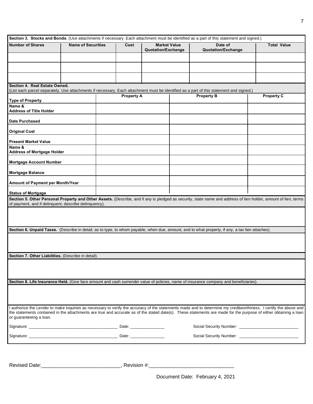|                                                       |                           |                   |                                           | Section 3. Stocks and Bonds. (Use attachments if necessary. Each attachment must be identified as a part of this statement and signed.)                           |                    |
|-------------------------------------------------------|---------------------------|-------------------|-------------------------------------------|-------------------------------------------------------------------------------------------------------------------------------------------------------------------|--------------------|
| <b>Number of Shares</b>                               | <b>Name of Securities</b> | Cost              | <b>Market Value</b><br>Quotation/Exchange | Date of<br>Quotation/Exchange                                                                                                                                     | <b>Total Value</b> |
|                                                       |                           |                   |                                           |                                                                                                                                                                   |                    |
|                                                       |                           |                   |                                           |                                                                                                                                                                   |                    |
|                                                       |                           |                   |                                           |                                                                                                                                                                   |                    |
|                                                       |                           |                   |                                           |                                                                                                                                                                   |                    |
| Section 4. Real Estate Owned.                         |                           |                   |                                           | (List each parcel separately. Use attachments if necessary. Each attachment must be identified as a part of this statement and signed.)                           |                    |
| <b>Type of Property</b>                               |                           | <b>Property A</b> |                                           | <b>Property B</b>                                                                                                                                                 | <b>Property C</b>  |
| Name &                                                |                           |                   |                                           |                                                                                                                                                                   |                    |
| <b>Address of Title Holder</b>                        |                           |                   |                                           |                                                                                                                                                                   |                    |
| <b>Date Purchased</b>                                 |                           |                   |                                           |                                                                                                                                                                   |                    |
| <b>Original Cost</b>                                  |                           |                   |                                           |                                                                                                                                                                   |                    |
| <b>Present Market Value</b>                           |                           |                   |                                           |                                                                                                                                                                   |                    |
| Name &<br><b>Address of Mortgage Holder</b>           |                           |                   |                                           |                                                                                                                                                                   |                    |
|                                                       |                           |                   |                                           |                                                                                                                                                                   |                    |
| <b>Mortgage Account Number</b>                        |                           |                   |                                           |                                                                                                                                                                   |                    |
| <b>Mortgage Balance</b>                               |                           |                   |                                           |                                                                                                                                                                   |                    |
| Amount of Payment per Month/Year                      |                           |                   |                                           |                                                                                                                                                                   |                    |
| <b>Status of Mortgage</b>                             |                           |                   |                                           |                                                                                                                                                                   |                    |
| of payment, and if delinquent, describe delinquency). |                           |                   |                                           | Section 5. Other Personal Property and Other Assets. (Describe, and if any is pledged as security, state name and address of lien holder, amount of lien, terms   |                    |
|                                                       |                           |                   |                                           |                                                                                                                                                                   |                    |
|                                                       |                           |                   |                                           |                                                                                                                                                                   |                    |
|                                                       |                           |                   |                                           | Section 6. Unpaid Taxes. (Describe in detail, as to type, to whom payable, when due, amount, and to what property, if any, a tax lien attaches).                  |                    |
|                                                       |                           |                   |                                           |                                                                                                                                                                   |                    |
|                                                       |                           |                   |                                           |                                                                                                                                                                   |                    |
| Section 7. Other Liabilities. (Describe in detail).   |                           |                   |                                           |                                                                                                                                                                   |                    |
|                                                       |                           |                   |                                           |                                                                                                                                                                   |                    |
|                                                       |                           |                   |                                           |                                                                                                                                                                   |                    |
|                                                       |                           |                   |                                           | Section 8. Life Insurance Held. (Give face amount and cash surrender value of policies, name of insurance company and beneficiaries).                             |                    |
|                                                       |                           |                   |                                           |                                                                                                                                                                   |                    |
|                                                       |                           |                   |                                           |                                                                                                                                                                   |                    |
|                                                       |                           |                   |                                           | I authorize the Lender to make inquiries as necessary to verify the accuracy of the statements made and to determine my creditworthiness. I certify the above and |                    |
|                                                       |                           |                   |                                           | the statements contained in the attachments are true and accurate as of the stated date(s). These statements are made for the purpose of either obtaining a loan  |                    |
| or guaranteeing a loan.                               |                           |                   |                                           |                                                                                                                                                                   |                    |
|                                                       |                           |                   |                                           |                                                                                                                                                                   |                    |
|                                                       |                           |                   |                                           |                                                                                                                                                                   |                    |
|                                                       |                           |                   |                                           |                                                                                                                                                                   |                    |
|                                                       |                           |                   |                                           |                                                                                                                                                                   |                    |
| <b>Revised Date:</b>                                  |                           | , Revision #:_    |                                           |                                                                                                                                                                   |                    |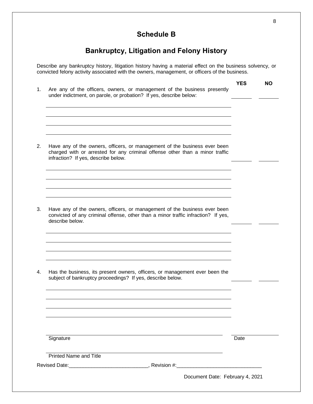# **Schedule B**

# **Bankruptcy, Litigation and Felony History**

Describe any bankruptcy history, litigation history having a material effect on the business solvency, or convicted felony activity associated with the owners, management, or officers of the business.

| 1. | Are any of the officers, owners, or management of the business presently<br>under indictment, on parole, or probation? If yes, describe below:                                                   | <b>YES</b> | NΟ |
|----|--------------------------------------------------------------------------------------------------------------------------------------------------------------------------------------------------|------------|----|
|    |                                                                                                                                                                                                  |            |    |
|    |                                                                                                                                                                                                  |            |    |
|    |                                                                                                                                                                                                  |            |    |
| 2. | Have any of the owners, officers, or management of the business ever been<br>charged with or arrested for any criminal offense other than a minor traffic<br>infraction? If yes, describe below. |            |    |
|    |                                                                                                                                                                                                  |            |    |
|    |                                                                                                                                                                                                  |            |    |
|    |                                                                                                                                                                                                  |            |    |
| 3. | Have any of the owners, officers, or management of the business ever been<br>convicted of any criminal offense, other than a minor traffic infraction? If yes,<br>describe below.                |            |    |
|    |                                                                                                                                                                                                  |            |    |
|    |                                                                                                                                                                                                  |            |    |
|    |                                                                                                                                                                                                  |            |    |
| 4. | Has the business, its present owners, officers, or management ever been the<br>subject of bankruptcy proceedings? If yes, describe below.                                                        |            |    |
|    |                                                                                                                                                                                                  |            |    |
|    |                                                                                                                                                                                                  |            |    |
|    |                                                                                                                                                                                                  |            |    |
|    |                                                                                                                                                                                                  |            |    |
|    | Signature                                                                                                                                                                                        | Date       |    |
|    | <b>Printed Name and Title</b>                                                                                                                                                                    |            |    |
|    |                                                                                                                                                                                                  |            |    |
|    | Document Date: February 4, 2021                                                                                                                                                                  |            |    |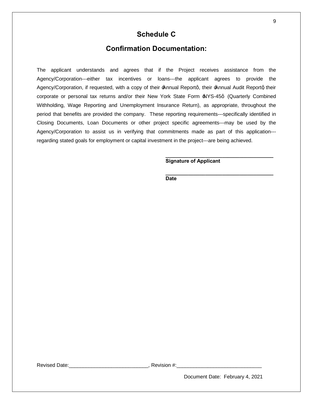# **Schedule C**

# **Confirmation Documentation:**

The applicant understands and agrees that if the Project receives assistance from the Agency/Corporation---either tax incentives or loans---the applicant agrees to provide the Agency/Corporation, if requested, with a copy of their  $\pm$ Annual Reportq, their  $\pm$ Annual Audit Reportq their corporate or personal tax returns and/or their New York State Form  $\text{AVS-45q}$  (Quarterly Combined Withholding, Wage Reporting and Unemployment Insurance Return), as appropriate, throughout the period that benefits are provided the company. These reporting requirements---specifically identified in Closing Documents, Loan Documents or other project specific agreements---may be used by the Agency/Corporation to assist us in verifying that commitments made as part of this application-- regarding stated goals for employment or capital investment in the project---are being achieved.

# **Signature of Applicant**

**\_\_\_\_\_\_\_\_\_\_\_\_\_\_\_\_\_\_\_\_\_\_\_\_\_\_\_\_\_\_\_\_\_\_\_\_\_\_**

**\_\_\_\_\_\_\_\_\_\_\_\_\_\_\_\_\_\_\_\_\_\_\_\_\_\_\_\_\_\_\_\_\_\_\_\_\_\_**

**Date**

Revised Date: extending the Revision #: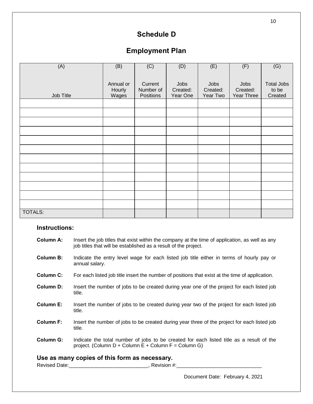# **Schedule D**

# **Employment Plan**

| (A)            | (B)       | (C)       | (D)      | (E)      | (F)        | (G)               |
|----------------|-----------|-----------|----------|----------|------------|-------------------|
|                |           |           |          |          |            |                   |
|                | Annual or | Current   | Jobs     | Jobs     | Jobs       | <b>Total Jobs</b> |
|                | Hourly    | Number of | Created: | Created: | Created:   | to be             |
| Job Title      | Wages     | Positions | Year One | Year Two | Year Three | Created           |
|                |           |           |          |          |            |                   |
|                |           |           |          |          |            |                   |
|                |           |           |          |          |            |                   |
|                |           |           |          |          |            |                   |
|                |           |           |          |          |            |                   |
|                |           |           |          |          |            |                   |
|                |           |           |          |          |            |                   |
|                |           |           |          |          |            |                   |
|                |           |           |          |          |            |                   |
|                |           |           |          |          |            |                   |
|                |           |           |          |          |            |                   |
|                |           |           |          |          |            |                   |
| <b>TOTALS:</b> |           |           |          |          |            |                   |

## **Instructions:**

| Column A: | Insert the job titles that exist within the company at the time of application, as well as any |
|-----------|------------------------------------------------------------------------------------------------|
|           | job titles that will be established as a result of the project.                                |

- **Column B:** Indicate the entry level wage for each listed job title either in terms of hourly pay or annual salary.
- **Column C:** For each listed job title insert the number of positions that exist at the time of application.
- **Column D:** Insert the number of jobs to be created during year one of the project for each listed job title.
- **Column E:** Insert the number of jobs to be created during year two of the project for each listed job title.
- **Column F:** Insert the number of jobs to be created during year three of the project for each listed job title.
- **Column G:** Indicate the total number of jobs to be created for each listed title as a result of the project. (Column  $D$  + Column  $E$  + Column  $F$  = Column G)

# **Use as many copies of this form as necessary.**

Revised Date:\_\_\_\_\_\_\_\_\_\_\_\_\_\_\_\_\_\_\_\_\_\_\_\_\_\_\_\_, Revision #:\_\_\_\_\_\_\_\_\_\_\_\_\_\_\_\_\_\_\_\_\_\_\_\_\_\_\_\_\_\_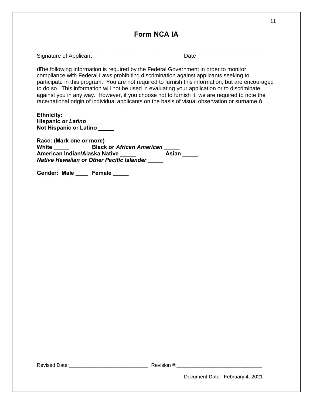# **Form NCA IA**

 $\overline{\phantom{a}}$  , and the contribution of the contribution of the contribution of the contribution of the contribution of the contribution of the contribution of the contribution of the contribution of the contribution of the

Signature of Applicant Date **Date** 

"The following information is required by the Federal Government in order to monitor compliance with Federal Laws prohibiting discrimination against applicants seeking to participate in this program. You are not required to furnish this information, but are encouraged to do so. This information will not be used in evaluating your application or to discriminate against you in any way. However, if you choose not to furnish it, we are required to note the race/national origin of individual applicants on the basis of visual observation or surname.+

| <b>Ethnicity:</b>             |  |
|-------------------------------|--|
| <b>Hispanic or Latino</b>     |  |
| <b>Not Hispanic or Latino</b> |  |

| Race: (Mark one or more) |                                                  |       |
|--------------------------|--------------------------------------------------|-------|
| White                    | <b>Black or African American</b>                 |       |
|                          | American Indian/Alaska Native                    | Asian |
|                          | <b>Native Hawaiian or Other Pacific Islander</b> |       |

Gender: Male Female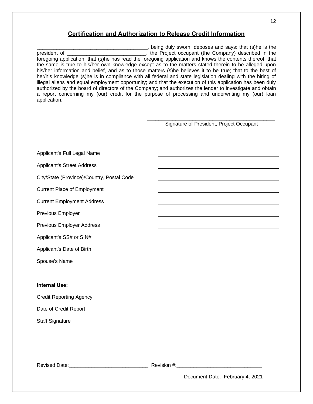# **Certification and Authorization to Release Credit Information**

\_\_\_\_\_\_\_\_\_\_\_\_\_\_\_\_\_\_\_\_\_\_\_\_\_\_\_\_\_\_\_\_\_\_\_\_\_\_\_, being duly sworn, deposes and says: that (s)he is the president of \_\_\_\_\_\_\_\_\_\_\_\_\_\_\_\_\_\_\_\_\_\_\_\_\_\_\_\_, the Project occupant (the Company) described in the foregoing application; that (s)he has read the foregoing application and knows the contents thereof; that the same is true to his/her own knowledge except as to the matters stated therein to be alleged upon his/her information and belief, and as to those matters (s)he believes it to be true; that to the best of her/his knowledge (s)he is in compliance with all federal and state legislation dealing with the hiring of illegal aliens and equal employment opportunity; and that the execution of this application has been duly authorized by the board of directors of the Company; and authorizes the lender to investigate and obtain a report concerning my (our) credit for the purpose of processing and underwriting my (our) loan application.

> \_\_\_\_\_\_\_\_\_\_\_\_\_\_\_\_\_\_\_\_\_\_\_\_\_\_\_\_\_\_\_\_\_\_\_\_\_\_\_\_\_\_\_\_\_ Signature of President, Project Occupant

| Applicant's Full Legal Name                |                                 |
|--------------------------------------------|---------------------------------|
| <b>Applicant's Street Address</b>          |                                 |
| City/State (Province)/Country, Postal Code |                                 |
| <b>Current Place of Employment</b>         |                                 |
| <b>Current Employment Address</b>          |                                 |
| Previous Employer                          |                                 |
| Previous Employer Address                  |                                 |
| Applicant's SS# or SIN#                    |                                 |
| Applicant's Date of Birth                  |                                 |
| Spouse's Name                              |                                 |
|                                            |                                 |
| <b>Internal Use:</b>                       |                                 |
| <b>Credit Reporting Agency</b>             |                                 |
| Date of Credit Report                      |                                 |
| <b>Staff Signature</b>                     |                                 |
|                                            |                                 |
|                                            |                                 |
|                                            |                                 |
|                                            |                                 |
|                                            | Document Date: February 4, 2021 |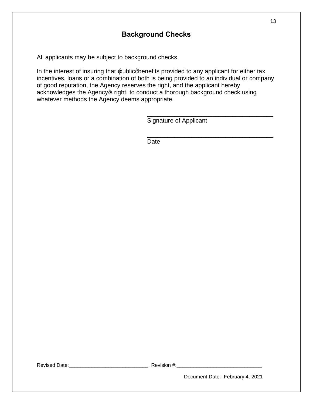# **Background Checks**

All applicants may be subject to background checks.

In the interest of insuring that public appenefits provided to any applicant for either tax incentives, loans or a combination of both is being provided to an individual or company of good reputation, the Agency reserves the right, and the applicant hereby acknowledges the Agency of right, to conduct a thorough background check using whatever methods the Agency deems appropriate.

Signature of Applicant

\_\_\_\_\_\_\_\_\_\_\_\_\_\_\_\_\_\_\_\_\_\_\_\_\_\_\_\_\_\_\_\_\_\_\_\_\_

\_\_\_\_\_\_\_\_\_\_\_\_\_\_\_\_\_\_\_\_\_\_\_\_\_\_\_\_\_\_\_\_\_\_\_\_\_

Date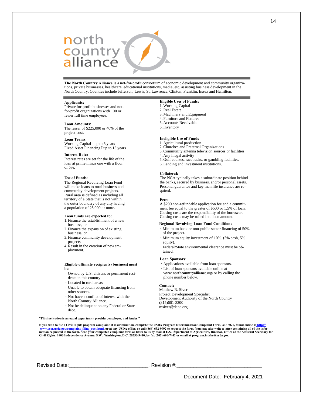# north<br>country<br>alliance

**The North Country Alliance** is a not-for-profit consortium of economic development and community organizations, private businesses, healthcare, educational institutions, media, etc. assisting business development in the North Country. Counties include Jefferson, Lewis, St. Lawrence, Clinton, Franklin, Essex and Hamilton.

#### **Applicants:**

Private for-profit businesses and notfor-profit organizations with 100 or fewer full time employees.

#### **Loan Amounts:**

The lesser of \$225,000 or 40% of the project cost.

#### **Loan Terms:**

Working Capital - up to 5 years Fixed Asset Financing 6up to 15 years

#### **Interest Rate:**

Interest rates are set for the life of the loan at prime minus one with a floor of 5%.

#### **Use of Funds:**

The Regional Revolving Loan Fund will make loans to rural business and community development projects. Rural area is defined as including all territory of a State that is not within the outer boundary of any city having a population of 25,000 or more.

#### **Loan funds are expected to:**

- 1. Finance the establishment of a new business, or
- 2. Finance the expansion of existing business, or
- 3. Finance community development projects.
- 4.Result in the creation of new employment.

#### **Eligible ultimate recipients (business) must be:**

- · Owned by U.S. citizens or permanent residents in this country
- · Located in rural areas
- · Unable to obtain adequate financing from other sources.
- · Not have a conflict of interest with the
- North Country Alliance.
- · Not be delinquent on any Federal or State debt.

#### "**This institution is an equal opportunity provider, employer, and lender."**

**If you wish to file a Civil Rights program complaint of discrimination, complete the USDA Program Discrimination Complaint Form, AD-3027, found online at http://**

<u>www.ascr.usda.gov/complaint\_filing\_cust.html</u>, or at any USDA office, or call (866) 632-9992 to request the form. You may also write a letter containing all of the infor-<br>mation requested in the form. Send your completed

Revised Date: etc. All and the set of the Revision #:

### **Eligible Uses of Funds:**

- 1. Working Capital
- 2. Real Estate
- 3. Machinery and Equipment
- 4. Furniture and Fixtures
- 5. Accounts Receivable 6. Inventory
- 

## **Ineligible Use of Funds**

- 1. Agricultural production 2. Churches and Fraternal Organizations
- 3. Community antenna television sources or facilities
	-
- 4. Any illegal activity
- 5. Golf courses, racetracks, or gambling facilities.
- 6. Lending and investment institutions.

#### **Collateral:**

The NCA typically takes a subordinate position behind the banks, secured by business, and/or personal assets. Personal guarantee and key man life insurance are required.

#### **Fees:**

A \$200 non-refundable application fee and a commitment fee equal to the greater of \$500 or 1.5% of loan. Closing costs are the responsibility of the borrower. Closing costs may be rolled into loan amount.

#### **Regional Revolving Loan Fund Conditions**

- · Minimum bank or non-public sector financing of 50% of the project.
- · Minimum equity investment of 10%. (5% cash, 5% equity).
- · Federal/State environmental clearance must be obtained.

#### **Loan Sponsors:**

- · Applications available from loan sponsors.
- · List of loan sponsors available online at www.**northcountryalliance**.org/ or by calling the phone number below.

## **Contact:**

Matthew R. Siver Project Development Specialist Development Authority of the North Country (315)661-3200 msiver@danc.org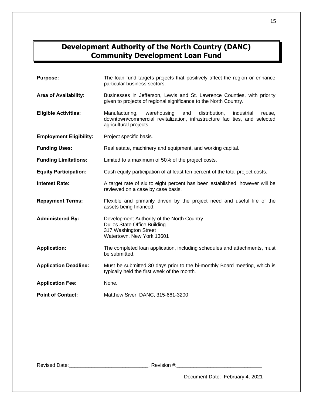# **Development Authority of the North Country (DANC) Community Development Loan Fund**

| <b>Purpose:</b>                | The loan fund targets projects that positively affect the region or enhance<br>particular business sectors.                                                                            |
|--------------------------------|----------------------------------------------------------------------------------------------------------------------------------------------------------------------------------------|
| Area of Availability:          | Businesses in Jefferson, Lewis and St. Lawrence Counties, with priority<br>given to projects of regional significance to the North Country.                                            |
| <b>Eligible Activities:</b>    | Manufacturing,<br>warehousing<br>and<br>distribution,<br>industrial<br>reuse.<br>downtown/commercial revitalization, infrastructure facilities, and selected<br>agricultural projects. |
| <b>Employment Eligibility:</b> | Project specific basis.                                                                                                                                                                |
| <b>Funding Uses:</b>           | Real estate, machinery and equipment, and working capital.                                                                                                                             |
| <b>Funding Limitations:</b>    | Limited to a maximum of 50% of the project costs.                                                                                                                                      |
| <b>Equity Participation:</b>   | Cash equity participation of at least ten percent of the total project costs.                                                                                                          |
| <b>Interest Rate:</b>          | A target rate of six to eight percent has been established, however will be<br>reviewed on a case by case basis.                                                                       |
| <b>Repayment Terms:</b>        | Flexible and primarily driven by the project need and useful life of the<br>assets being financed.                                                                                     |
| <b>Administered By:</b>        | Development Authority of the North Country<br><b>Dulles State Office Building</b><br>317 Washington Street<br>Watertown, New York 13601                                                |
| <b>Application:</b>            | The completed loan application, including schedules and attachments, must<br>be submitted.                                                                                             |
| <b>Application Deadline:</b>   | Must be submitted 30 days prior to the bi-monthly Board meeting, which is<br>typically held the first week of the month.                                                               |
| <b>Application Fee:</b>        | None.                                                                                                                                                                                  |
| <b>Point of Contact:</b>       | Matthew Siver, DANC, 315-661-3200                                                                                                                                                      |

Revised Date:\_\_\_\_\_\_\_\_\_\_\_\_\_\_\_\_\_\_\_\_\_\_\_\_\_\_\_\_, Revision #:\_\_\_\_\_\_\_\_\_\_\_\_\_\_\_\_\_\_\_\_\_\_\_\_\_\_\_\_\_\_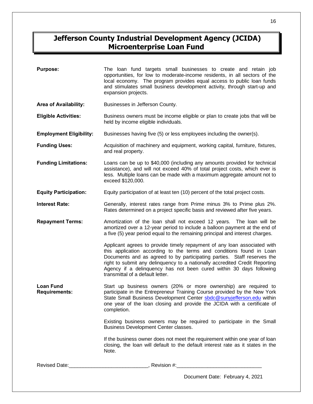# **Jefferson County Industrial Development Agency (JCIDA) Microenterprise Loan Fund**

| <b>Purpose:</b>                          | The loan fund targets small businesses to create and retain job<br>opportunities, for low to moderate-income residents, in all sectors of the<br>local economy. The program provides equal access to public loan funds<br>and stimulates small business development activity, through start-up and<br>expansion projects.                                                                                             |
|------------------------------------------|-----------------------------------------------------------------------------------------------------------------------------------------------------------------------------------------------------------------------------------------------------------------------------------------------------------------------------------------------------------------------------------------------------------------------|
| Area of Availability:                    | Businesses in Jefferson County.                                                                                                                                                                                                                                                                                                                                                                                       |
| <b>Eligible Activities:</b>              | Business owners must be income eligible or plan to create jobs that will be<br>held by income eligible individuals.                                                                                                                                                                                                                                                                                                   |
| <b>Employment Eligibility:</b>           | Businesses having five (5) or less employees including the owner(s).                                                                                                                                                                                                                                                                                                                                                  |
| <b>Funding Uses:</b>                     | Acquisition of machinery and equipment, working capital, furniture, fixtures,<br>and real property.                                                                                                                                                                                                                                                                                                                   |
| <b>Funding Limitations:</b>              | Loans can be up to \$40,000 (including any amounts provided for technical<br>assistance), and will not exceed 40% of total project costs, which ever is<br>less. Multiple loans can be made with a maximum aggregate amount not to<br>exceed \$120,000.                                                                                                                                                               |
| <b>Equity Participation:</b>             | Equity participation of at least ten (10) percent of the total project costs.                                                                                                                                                                                                                                                                                                                                         |
| <b>Interest Rate:</b>                    | Generally, interest rates range from Prime minus 3% to Prime plus 2%.<br>Rates determined on a project specific basis and reviewed after five years.                                                                                                                                                                                                                                                                  |
| <b>Repayment Terms:</b>                  | Amortization of the loan shall not exceed 12 years. The loan will be<br>amortized over a 12-year period to include a balloon payment at the end of<br>a five (5) year period equal to the remaining principal and interest charges.                                                                                                                                                                                   |
|                                          | Applicant agrees to provide timely repayment of any loan associated with<br>this application according to the terms and conditions found in Loan<br>Documents and as agreed to by participating parties. Staff reserves the<br>right to submit any delinquency to a nationally accredited Credit Reporting<br>Agency if a delinquency has not been cured within 30 days following<br>transmittal of a default letter. |
| <b>Loan Fund</b><br><b>Requirements:</b> | Start up business owners (20% or more ownership) are required to<br>participate in the Entrepreneur Training Course provided by the New York<br>State Small Business Development Center sbdc@sunyjefferson.edu within<br>one year of the loan closing and provide the JCIDA with a certificate of<br>completion.                                                                                                      |
|                                          | Existing business owners may be required to participate in the Small<br>Business Development Center classes.                                                                                                                                                                                                                                                                                                          |
|                                          | If the business owner does not meet the requirement within one year of loan<br>closing, the loan will default to the default interest rate as it states in the<br>Note.                                                                                                                                                                                                                                               |
|                                          |                                                                                                                                                                                                                                                                                                                                                                                                                       |
|                                          | Document Date: February 4, 2021                                                                                                                                                                                                                                                                                                                                                                                       |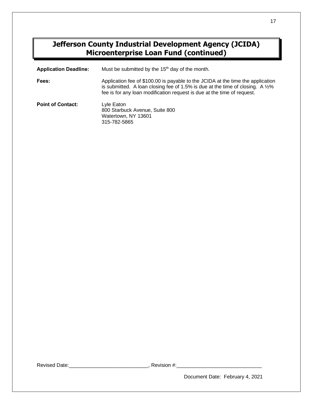# **Jefferson County Industrial Development Agency (JCIDA) Microenterprise Loan Fund (continued)**

| <b>Application Deadline:</b> | Must be submitted by the 15 <sup>th</sup> day of the month.                                                                                                                                                                                     |
|------------------------------|-------------------------------------------------------------------------------------------------------------------------------------------------------------------------------------------------------------------------------------------------|
| Fees:                        | Application fee of \$100.00 is payable to the JCIDA at the time the application<br>is submitted. A loan closing fee of 1.5% is due at the time of closing. A $1/2$ %<br>fee is for any loan modification request is due at the time of request. |
| <b>Point of Contact:</b>     | Lyle Eaton<br>800 Starbuck Avenue, Suite 800<br>Watertown, NY 13601<br>315-782-5865                                                                                                                                                             |

Revised Date: \_\_\_\_\_\_\_\_\_\_\_\_\_\_\_\_\_\_\_\_\_\_\_\_\_\_\_\_\_\_\_\_\_\_\_, Revision #:\_\_\_\_\_\_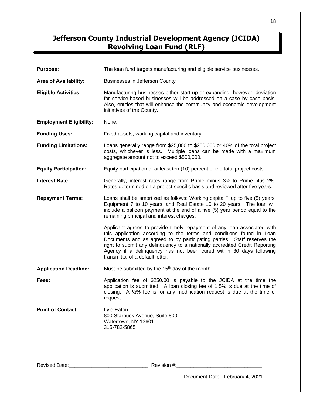# **Jefferson County Industrial Development Agency (JCIDA) Revolving Loan Fund (RLF)**

| <b>Purpose:</b>                | The loan fund targets manufacturing and eligible service businesses.                                                                                                                                                                                                                                                                                                                                                  |
|--------------------------------|-----------------------------------------------------------------------------------------------------------------------------------------------------------------------------------------------------------------------------------------------------------------------------------------------------------------------------------------------------------------------------------------------------------------------|
| Area of Availability:          | Businesses in Jefferson County.                                                                                                                                                                                                                                                                                                                                                                                       |
| <b>Eligible Activities:</b>    | Manufacturing businesses either start-up or expanding; however, deviation<br>for service-based businesses will be addressed on a case by case basis.<br>Also, entities that will enhance the community and economic development<br>initiatives of the County.                                                                                                                                                         |
| <b>Employment Eligibility:</b> | None.                                                                                                                                                                                                                                                                                                                                                                                                                 |
| <b>Funding Uses:</b>           | Fixed assets, working capital and inventory.                                                                                                                                                                                                                                                                                                                                                                          |
| <b>Funding Limitations:</b>    | Loans generally range from \$25,000 to \$250,000 or 40% of the total project<br>costs, whichever is less. Multiple loans can be made with a maximum<br>aggregate amount not to exceed \$500,000.                                                                                                                                                                                                                      |
| <b>Equity Participation:</b>   | Equity participation of at least ten (10) percent of the total project costs.                                                                                                                                                                                                                                                                                                                                         |
| <b>Interest Rate:</b>          | Generally, interest rates range from Prime minus 3% to Prime plus 2%.<br>Rates determined on a project specific basis and reviewed after five years.                                                                                                                                                                                                                                                                  |
| <b>Repayment Terms:</b>        | Loans shall be amortized as follows: Working capital . up to five (5) years;<br>Equipment 7 to 10 years; and Real Estate 10 to 20 years. The loan will<br>include a balloon payment at the end of a five (5) year period equal to the<br>remaining principal and interest charges.                                                                                                                                    |
|                                | Applicant agrees to provide timely repayment of any loan associated with<br>this application according to the terms and conditions found in Loan<br>Documents and as agreed to by participating parties. Staff reserves the<br>right to submit any delinquency to a nationally accredited Credit Reporting<br>Agency if a delinquency has not been cured within 30 days following<br>transmittal of a default letter. |
| <b>Application Deadline:</b>   | Must be submitted by the 15 <sup>th</sup> day of the month.                                                                                                                                                                                                                                                                                                                                                           |
| Fees:                          | Application fee of \$250.00 is payable to the JCIDA at the time the<br>application is submitted. A loan closing fee of 1.5% is due at the time of<br>closing. A 1/2% fee is for any modification request is due at the time of<br>request.                                                                                                                                                                            |
| <b>Point of Contact:</b>       | Lyle Eaton<br>800 Starbuck Avenue, Suite 800<br>Watertown, NY 13601<br>315-782-5865                                                                                                                                                                                                                                                                                                                                   |

Revised Date:\_\_\_\_\_\_\_\_\_\_\_\_\_\_\_\_\_\_\_\_\_\_\_\_\_\_\_\_, Revision #:\_\_\_\_\_\_\_\_\_\_\_\_\_\_\_\_\_\_\_\_\_\_\_\_\_\_\_\_\_\_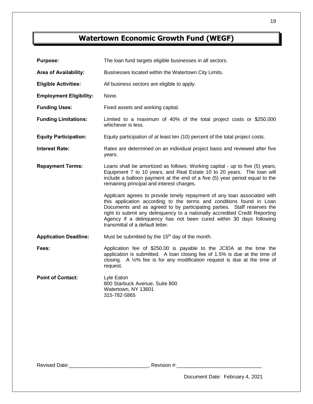# **Watertown Economic Growth Fund (WEGF)**

| <b>Purpose:</b>                | The loan fund targets eligible businesses in all sectors.                                                                                                                                                                                                                                                                                                                                                             |
|--------------------------------|-----------------------------------------------------------------------------------------------------------------------------------------------------------------------------------------------------------------------------------------------------------------------------------------------------------------------------------------------------------------------------------------------------------------------|
| Area of Availability:          | Businesses located within the Watertown City Limits.                                                                                                                                                                                                                                                                                                                                                                  |
| <b>Eligible Activities:</b>    | All business sectors are eligible to apply.                                                                                                                                                                                                                                                                                                                                                                           |
| <b>Employment Eligibility:</b> | None.                                                                                                                                                                                                                                                                                                                                                                                                                 |
| <b>Funding Uses:</b>           | Fixed assets and working capital.                                                                                                                                                                                                                                                                                                                                                                                     |
| <b>Funding Limitations:</b>    | Limited to a maximum of 40% of the total project costs or \$250,000<br>whichever is less.                                                                                                                                                                                                                                                                                                                             |
| <b>Equity Participation:</b>   | Equity participation of at least ten (10) percent of the total project costs.                                                                                                                                                                                                                                                                                                                                         |
| <b>Interest Rate:</b>          | Rates are determined on an individual project basis and reviewed after five<br>years.                                                                                                                                                                                                                                                                                                                                 |
| <b>Repayment Terms:</b>        | Loans shall be amortized as follows: Working capital - up to five (5) years;<br>Equipment 7 to 10 years; and Real Estate 10 to 20 years. The loan will<br>include a balloon payment at the end of a five (5) year period equal to the<br>remaining principal and interest charges.                                                                                                                                    |
|                                | Applicant agrees to provide timely repayment of any loan associated with<br>this application according to the terms and conditions found in Loan<br>Documents and as agreed to by participating parties. Staff reserves the<br>right to submit any delinquency to a nationally accredited Credit Reporting<br>Agency if a delinquency has not been cured within 30 days following<br>transmittal of a default letter. |
| <b>Application Deadline:</b>   | Must be submitted by the 15 <sup>th</sup> day of the month.                                                                                                                                                                                                                                                                                                                                                           |
| Fees:                          | Application fee of \$250.00 is payable to the JCIDA at the time the<br>application is submitted. A loan closing fee of 1.5% is due at the time of<br>closing. A $1/2$ % fee is for any modification request is due at the time of<br>request.                                                                                                                                                                         |
| <b>Point of Contact:</b>       | Lyle Eaton<br>800 Starbuck Avenue, Suite 800<br>Watertown, NY 13601<br>315-782-5865                                                                                                                                                                                                                                                                                                                                   |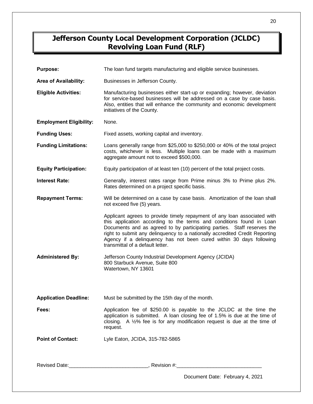# **Jefferson County Local Development Corporation (JCLDC) Revolving Loan Fund (RLF)**

| <b>Purpose:</b>                | The loan fund targets manufacturing and eligible service businesses.                                                                                                                                                                                                                                                                                                                                                  |  |
|--------------------------------|-----------------------------------------------------------------------------------------------------------------------------------------------------------------------------------------------------------------------------------------------------------------------------------------------------------------------------------------------------------------------------------------------------------------------|--|
| Area of Availability:          | Businesses in Jefferson County.                                                                                                                                                                                                                                                                                                                                                                                       |  |
| <b>Eligible Activities:</b>    | Manufacturing businesses either start-up or expanding; however, deviation<br>for service-based businesses will be addressed on a case by case basis.<br>Also, entities that will enhance the community and economic development<br>initiatives of the County.                                                                                                                                                         |  |
| <b>Employment Eligibility:</b> | None.                                                                                                                                                                                                                                                                                                                                                                                                                 |  |
| <b>Funding Uses:</b>           | Fixed assets, working capital and inventory.                                                                                                                                                                                                                                                                                                                                                                          |  |
| <b>Funding Limitations:</b>    | Loans generally range from \$25,000 to \$250,000 or 40% of the total project<br>costs, whichever is less. Multiple loans can be made with a maximum<br>aggregate amount not to exceed \$500,000.                                                                                                                                                                                                                      |  |
| <b>Equity Participation:</b>   | Equity participation of at least ten (10) percent of the total project costs.                                                                                                                                                                                                                                                                                                                                         |  |
| <b>Interest Rate:</b>          | Generally, interest rates range from Prime minus 3% to Prime plus 2%.<br>Rates determined on a project specific basis.                                                                                                                                                                                                                                                                                                |  |
| <b>Repayment Terms:</b>        | Will be determined on a case by case basis. Amortization of the loan shall<br>not exceed five (5) years.                                                                                                                                                                                                                                                                                                              |  |
|                                | Applicant agrees to provide timely repayment of any loan associated with<br>this application according to the terms and conditions found in Loan<br>Documents and as agreed to by participating parties. Staff reserves the<br>right to submit any delinquency to a nationally accredited Credit Reporting<br>Agency if a delinquency has not been cured within 30 days following<br>transmittal of a default letter. |  |
| <b>Administered By:</b>        | Jefferson County Industrial Development Agency (JCIDA)<br>800 Starbuck Avenue, Suite 800<br>Watertown, NY 13601                                                                                                                                                                                                                                                                                                       |  |
| <b>Application Deadline:</b>   | Must be submitted by the 15th day of the month.                                                                                                                                                                                                                                                                                                                                                                       |  |
| Fees:                          | Application fee of \$250.00 is payable to the JCLDC at the time the<br>application is submitted. A loan closing fee of 1.5% is due at the time of<br>closing. A 1/2% fee is for any modification request is due at the time of<br>request.                                                                                                                                                                            |  |
| <b>Point of Contact:</b>       | Lyle Eaton, JCIDA, 315-782-5865                                                                                                                                                                                                                                                                                                                                                                                       |  |
|                                |                                                                                                                                                                                                                                                                                                                                                                                                                       |  |
|                                | Document Date: February 4, 2021                                                                                                                                                                                                                                                                                                                                                                                       |  |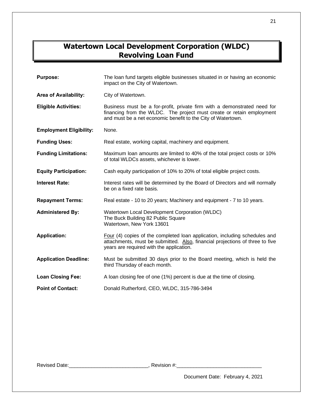# **Watertown Local Development Corporation (WLDC) Revolving Loan Fund**

| <b>Purpose:</b>                | The loan fund targets eligible businesses situated in or having an economic<br>impact on the City of Watertown.                                                                                                   |
|--------------------------------|-------------------------------------------------------------------------------------------------------------------------------------------------------------------------------------------------------------------|
| Area of Availability:          | City of Watertown.                                                                                                                                                                                                |
| <b>Eligible Activities:</b>    | Business must be a for-profit, private firm with a demonstrated need for<br>financing from the WLDC. The project must create or retain employment<br>and must be a net economic benefit to the City of Watertown. |
| <b>Employment Eligibility:</b> | None.                                                                                                                                                                                                             |
| <b>Funding Uses:</b>           | Real estate, working capital, machinery and equipment.                                                                                                                                                            |
| <b>Funding Limitations:</b>    | Maximum loan amounts are limited to 40% of the total project costs or 10%<br>of total WLDCs assets, whichever is lower.                                                                                           |
| <b>Equity Participation:</b>   | Cash equity participation of 10% to 20% of total eligible project costs.                                                                                                                                          |
| <b>Interest Rate:</b>          | Interest rates will be determined by the Board of Directors and will normally<br>be on a fixed rate basis.                                                                                                        |
| <b>Repayment Terms:</b>        | Real estate - 10 to 20 years; Machinery and equipment - 7 to 10 years.                                                                                                                                            |
| <b>Administered By:</b>        | Watertown Local Development Corporation (WLDC)<br>The Buck Building 82 Public Square<br>Watertown, New York 13601                                                                                                 |
| <b>Application:</b>            | Four (4) copies of the completed loan application, including schedules and<br>attachments, must be submitted. Also, financial projections of three to five<br>years are required with the application.            |
| <b>Application Deadline:</b>   | Must be submitted 30 days prior to the Board meeting, which is held the<br>third Thursday of each month.                                                                                                          |
| <b>Loan Closing Fee:</b>       | A loan closing fee of one (1%) percent is due at the time of closing.                                                                                                                                             |
| <b>Point of Contact:</b>       | Donald Rutherford, CEO, WLDC, 315-786-3494                                                                                                                                                                        |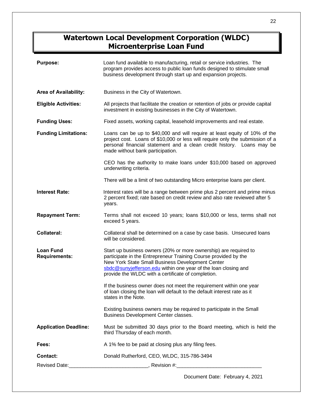# **Watertown Local Development Corporation (WLDC) Microenterprise Loan Fund**

| <b>Purpose:</b>                          | Loan fund available to manufacturing, retail or service industries. The<br>program provides access to public loan funds designed to stimulate small<br>business development through start up and expansion projects.                                                                                            |
|------------------------------------------|-----------------------------------------------------------------------------------------------------------------------------------------------------------------------------------------------------------------------------------------------------------------------------------------------------------------|
| <b>Area of Availability:</b>             | Business in the City of Watertown.                                                                                                                                                                                                                                                                              |
| <b>Eligible Activities:</b>              | All projects that facilitate the creation or retention of jobs or provide capital<br>investment in existing businesses in the City of Watertown.                                                                                                                                                                |
| <b>Funding Uses:</b>                     | Fixed assets, working capital, leasehold improvements and real estate.                                                                                                                                                                                                                                          |
| <b>Funding Limitations:</b>              | Loans can be up to \$40,000 and will require at least equity of 10% of the<br>project cost. Loans of \$10,000 or less will require only the submission of a<br>personal financial statement and a clean credit history. Loans may be<br>made without bank participation.                                        |
|                                          | CEO has the authority to make loans under \$10,000 based on approved<br>underwriting criteria.                                                                                                                                                                                                                  |
|                                          | There will be a limit of two outstanding Micro enterprise loans per client.                                                                                                                                                                                                                                     |
| <b>Interest Rate:</b>                    | Interest rates will be a range between prime plus 2 percent and prime minus<br>2 percent fixed; rate based on credit review and also rate reviewed after 5<br>years.                                                                                                                                            |
| <b>Repayment Term:</b>                   | Terms shall not exceed 10 years; loans \$10,000 or less, terms shall not<br>exceed 5 years.                                                                                                                                                                                                                     |
| <b>Collateral:</b>                       | Collateral shall be determined on a case by case basis. Unsecured loans<br>will be considered.                                                                                                                                                                                                                  |
| <b>Loan Fund</b><br><b>Requirements:</b> | Start up business owners (20% or more ownership) are required to<br>participate in the Entrepreneur Training Course provided by the<br>New York State Small Business Development Center<br>sbdc@sunyjefferson.edu within one year of the loan closing and<br>provide the WLDC with a certificate of completion. |
|                                          | If the business owner does not meet the requirement within one year<br>of loan closing the loan will default to the default interest rate as it<br>states in the Note.                                                                                                                                          |
|                                          | Existing business owners may be required to participate in the Small<br>Business Development Center classes.                                                                                                                                                                                                    |
| <b>Application Deadline:</b>             | Must be submitted 30 days prior to the Board meeting, which is held the<br>third Thursday of each month.                                                                                                                                                                                                        |
| Fees:                                    | A 1% fee to be paid at closing plus any filing fees.                                                                                                                                                                                                                                                            |
| <b>Contact:</b>                          | Donald Rutherford, CEO, WLDC, 315-786-3494                                                                                                                                                                                                                                                                      |
|                                          |                                                                                                                                                                                                                                                                                                                 |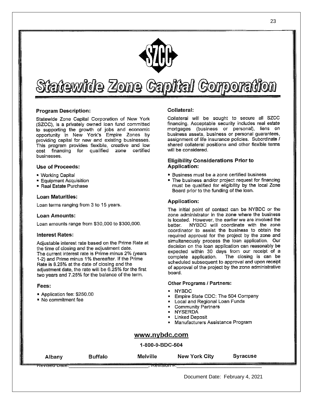

# Statewide Zone Capital Corporation

## **Program Description:**

Statewide Zone Capital Corporation of New York (SZCC), is a privately owned loan fund committed to supporting the growth of jobs and economic opportunity in New York's Empire Zones by providing capital for new and existing businesses. This program provides flexible, creative and low cost financing for qualified zone certified businesses.

## Use of Proceeds:

- Working Capital
- **Equipment Acquisition**
- Real Estate Purchase

## **Loan Maturities:**

Loan terms ranging from 3 to 15 years.

## Loan Amounts:

Loan amounts range from \$30,000 to \$300,000.

## **Interest Rates:**

Adjustable interest rate based on the Prime Rate at the time of closing and the adjustment date. The current interest rate is Prime minus 2% (years 1-2) and Prime minus 1% thereafter. If the Prime Rate is 8.25% at the date of closing and the adjustment date, the rate will be 6.25% for the first two years and 7.25% for the balance of the term.

## Fees:

- Application fee: \$250.00
- No commitment fee

## Collateral:

Collateral will be sought to secure all SZCC financing. Acceptable security includes real estate mortgages (business or personal), liens on business assets, business or personal guarantees, assignment of life insurance policies. Subordinate / shared collateral positions and other flexible terms will be considered.

## **Eligibility Considerations Prior to** Application:

- **Business must be a zone certified business**
- The business and/or project request for financing must be qualified for eligibility by the local Zone Board prior to the funding of the loan.

## **Application:**

The initial point of contact can be NYBDC or the zone administrator in the zone where the business is located. However, the earlier we are involved the NYBDC will coordinate with the zone better. coordinator to assist the business to obtain the required approval for the project by the zone and simultaneously process the loan application. Our decision on the loan application can reasonably be expected within 30 days from our receipt of a The closing is can be complete application. scheduled subsequent to approval and upon receipt of approval of the project by the zone administrative board.

## Other Programs / Partners:

- **NYBDC**
- Empire State CDC: The 504 Company
- Local and Regional Loan Funds
- **Community Partners**
- **NYSERDA**
- **Linked Deposit**
- Manufacturers Assistance Program

## www.nybdc.com

## 1-800-9-BDC-504

| Albany                     | <b>Buffalo</b> | <b>Melville</b> | New York City | <b>Syracuse</b> |
|----------------------------|----------------|-----------------|---------------|-----------------|
| <del>- Reviseu Date.</del> |                | R               |               |                 |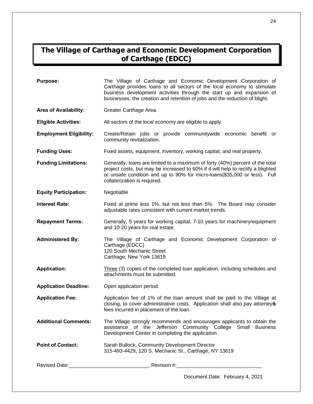# **The Village of Carthage and Economic Development Corporation of Carthage (EDCC)**

| <b>Purpose:</b>                | The Village of Carthage and Economic Development Corporation of<br>Carthage provides loans to all sectors of the local economy to stimulate<br>business development activities through the start up and expansion of<br>businesses, the creation and retention of jobs and the reduction of blight. |
|--------------------------------|-----------------------------------------------------------------------------------------------------------------------------------------------------------------------------------------------------------------------------------------------------------------------------------------------------|
| <b>Area of Availability:</b>   | Greater Carthage Area.                                                                                                                                                                                                                                                                              |
| <b>Eligible Activities:</b>    | All sectors of the local economy are eligible to apply.                                                                                                                                                                                                                                             |
| <b>Employment Eligibility:</b> | Create/Retain jobs or provide communitywide economic benefit or<br>community revitalization.                                                                                                                                                                                                        |
| <b>Funding Uses:</b>           | Fixed assets, equipment, inventory, working capital, and real property.                                                                                                                                                                                                                             |
| <b>Funding Limitations:</b>    | Generally, loans are limited to a maximum of forty (40%) percent of the total<br>project costs, but may be increased to 60% if it will help to rectify a blighted<br>or unsafe condition and up to 90% for micro-loans(\$35,000 or less). Full<br>collaterization is required.                      |
| <b>Equity Participation:</b>   | Negotiable                                                                                                                                                                                                                                                                                          |
| <b>Interest Rate:</b>          | Fixed at prime less 1%, but not less than 5%. The Board may consider<br>adjustable rates consistent with current market trends.                                                                                                                                                                     |
| <b>Repayment Terms:</b>        | Generally, 5 years for working capital, 7-10 years for machinery/equipment<br>and 10-20 years for real estate.                                                                                                                                                                                      |
| <b>Administered By:</b>        | The Village of Carthage and Economic Development Corporation of<br>Carthage (EDCC)<br>120 South Mechanic Street<br>Carthage, New York 13619                                                                                                                                                         |
| <b>Application:</b>            | Three (3) copies of the completed loan application, including schedules and<br>attachments must be submitted.                                                                                                                                                                                       |
| <b>Application Deadline:</b>   | Open application period.                                                                                                                                                                                                                                                                            |
| <b>Application Fee:</b>        | Application fee of 1% of the loan amount shall be paid to the Village at<br>closing, to cover administrative costs. Application shall also pay attorney<br>fees incurred in placement of the loan.                                                                                                  |
| <b>Additional Comments:</b>    | The Village strongly recommends and encourages applicants to obtain the<br>assistance of the Jefferson Community College Small Business<br>Development Center in completing the application.                                                                                                        |
| <b>Point of Contact:</b>       | Sarah Bullock, Community Development Director<br>315-493-4429, 120 S. Mechanic St., Carthage, NY 13619                                                                                                                                                                                              |
|                                |                                                                                                                                                                                                                                                                                                     |
|                                | Document Date: February 4, 2021                                                                                                                                                                                                                                                                     |